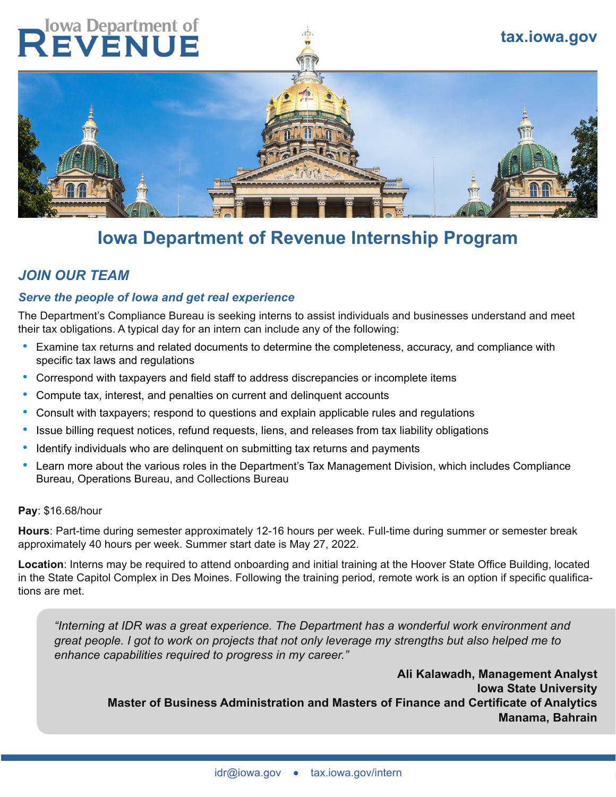# **Iowa Department of**<br>**EVENUE**



# **Iowa Department of Revenue Internship Program**

# *JOIN OUR TEAM*

#### *Serve the people of Iowa and get real experience*

The Department's Compliance Bureau is seeking interns to assist individuals and businesses understand and meet their tax obligations. A typical day for an intern can include any of the following:

- Examine tax returns and related documents to determine the completeness, accuracy, and compliance with specific tax laws and regulations
- Correspond with taxpayers and field staff to address discrepancies or incomplete items
- Compute tax, interest, and penalties on current and delinquent accounts
- Consult with taxpayers; respond to questions and explain applicable rules and regulations
- Issue billing request notices, refund requests, liens, and releases from tax liability obligations
- Identify individuals who are delinquent on submitting tax returns and payments
- Learn more about the various roles in the Department's Tax Management Division, which includes Compliance Bureau, Operations Bureau, and Collections Bureau

#### **Pay**: \$16.68/hour

**Hours**: Part-time during semester approximately 12-16 hours per week. Full-time during summer or semester break approximately 40 hours per week. Summer start date is May 27, 2022.

**Location**: Interns may be required to attend onboarding and initial training at the Hoover State Office Building, located in the State Capitol Complex in Des Moines. Following the training period, remote work is an option if specific qualifications are met.

*"Interning at IDR was a great experience. The Department has a wonderful work environment and great people. I got to work on projects that not only leverage my strengths but also helped me to enhance capabilities required to progress in my career."*

**Ali Kalawadh, Management Analyst Iowa State University Master of Business Administration and Masters of Finance and Certificate of Analytics Manama, Bahrain**